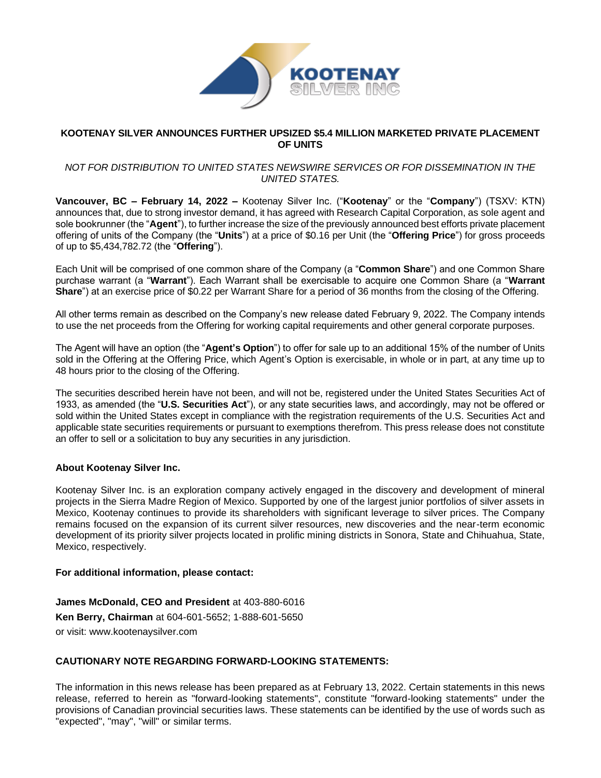

### **KOOTENAY SILVER ANNOUNCES FURTHER UPSIZED \$5.4 MILLION MARKETED PRIVATE PLACEMENT OF UNITS**

### *NOT FOR DISTRIBUTION TO UNITED STATES NEWSWIRE SERVICES OR FOR DISSEMINATION IN THE UNITED STATES.*

**Vancouver, BC – February 14, 2022 –** Kootenay Silver Inc. ("**Kootenay**" or the "**Company**") (TSXV: KTN) announces that, due to strong investor demand, it has agreed with Research Capital Corporation, as sole agent and sole bookrunner (the "**Agent**"), to further increase the size of the previously announced best efforts private placement offering of units of the Company (the "**Units**") at a price of \$0.16 per Unit (the "**Offering Price**") for gross proceeds of up to \$5,434,782.72 (the "**Offering**").

Each Unit will be comprised of one common share of the Company (a "**Common Share**") and one Common Share purchase warrant (a "**Warrant**"). Each Warrant shall be exercisable to acquire one Common Share (a "**Warrant Share**") at an exercise price of \$0.22 per Warrant Share for a period of 36 months from the closing of the Offering.

All other terms remain as described on the Company's new release dated February 9, 2022. The Company intends to use the net proceeds from the Offering for working capital requirements and other general corporate purposes.

The Agent will have an option (the "**Agent's Option**") to offer for sale up to an additional 15% of the number of Units sold in the Offering at the Offering Price, which Agent's Option is exercisable, in whole or in part, at any time up to 48 hours prior to the closing of the Offering.

The securities described herein have not been, and will not be, registered under the United States Securities Act of 1933, as amended (the "**U.S. Securities Act**"), or any state securities laws, and accordingly, may not be offered or sold within the United States except in compliance with the registration requirements of the U.S. Securities Act and applicable state securities requirements or pursuant to exemptions therefrom. This press release does not constitute an offer to sell or a solicitation to buy any securities in any jurisdiction.

# **About Kootenay Silver Inc.**

Kootenay Silver Inc. is an exploration company actively engaged in the discovery and development of mineral projects in the Sierra Madre Region of Mexico. Supported by one of the largest junior portfolios of silver assets in Mexico, Kootenay continues to provide its shareholders with significant leverage to silver prices. The Company remains focused on the expansion of its current silver resources, new discoveries and the near-term economic development of its priority silver projects located in prolific mining districts in Sonora, State and Chihuahua, State, Mexico, respectively.

#### **For additional information, please contact:**

**James McDonald, CEO and President** at 403-880-6016 **Ken Berry, Chairman** at 604-601-5652; 1-888-601-5650 or visit: [www.kootenaysilver.com](http://www.kootenaysilver.com/)

# **CAUTIONARY NOTE REGARDING FORWARD-LOOKING STATEMENTS:**

The information in this news release has been prepared as at February 13, 2022. Certain statements in this news release, referred to herein as "forward-looking statements", constitute "forward-looking statements" under the provisions of Canadian provincial securities laws. These statements can be identified by the use of words such as .<br>"expected", "may", "will" or similar terms.